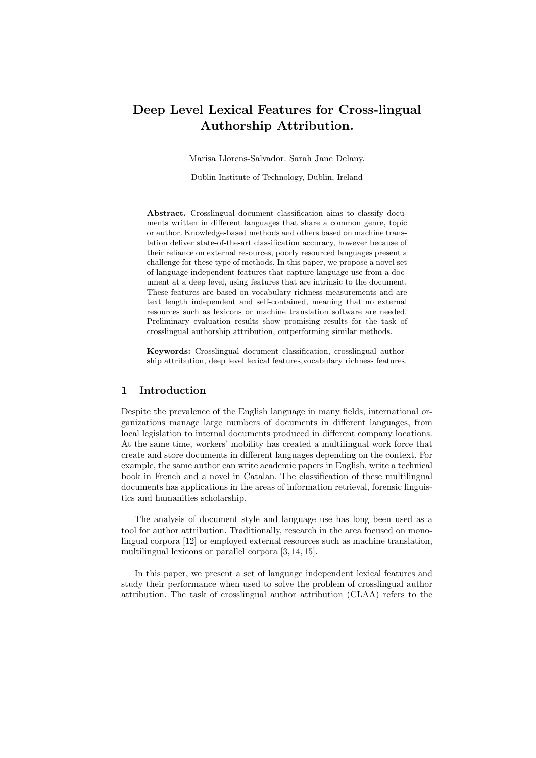# Deep Level Lexical Features for Cross-lingual Authorship Attribution.

Marisa Llorens-Salvador. Sarah Jane Delany.

Dublin Institute of Technology, Dublin, Ireland

Abstract. Crosslingual document classification aims to classify documents written in different languages that share a common genre, topic or author. Knowledge-based methods and others based on machine translation deliver state-of-the-art classification accuracy, however because of their reliance on external resources, poorly resourced languages present a challenge for these type of methods. In this paper, we propose a novel set of language independent features that capture language use from a document at a deep level, using features that are intrinsic to the document. These features are based on vocabulary richness measurements and are text length independent and self-contained, meaning that no external resources such as lexicons or machine translation software are needed. Preliminary evaluation results show promising results for the task of crosslingual authorship attribution, outperforming similar methods.

Keywords: Crosslingual document classification, crosslingual authorship attribution, deep level lexical features,vocabulary richness features.

# 1 Introduction

Despite the prevalence of the English language in many fields, international organizations manage large numbers of documents in different languages, from local legislation to internal documents produced in different company locations. At the same time, workers' mobility has created a multilingual work force that create and store documents in different languages depending on the context. For example, the same author can write academic papers in English, write a technical book in French and a novel in Catalan. The classification of these multilingual documents has applications in the areas of information retrieval, forensic linguistics and humanities scholarship.

The analysis of document style and language use has long been used as a tool for author attribution. Traditionally, research in the area focused on monolingual corpora [12] or employed external resources such as machine translation, multilingual lexicons or parallel corpora [3, 14, 15].

In this paper, we present a set of language independent lexical features and study their performance when used to solve the problem of crosslingual author attribution. The task of crosslingual author attribution (CLAA) refers to the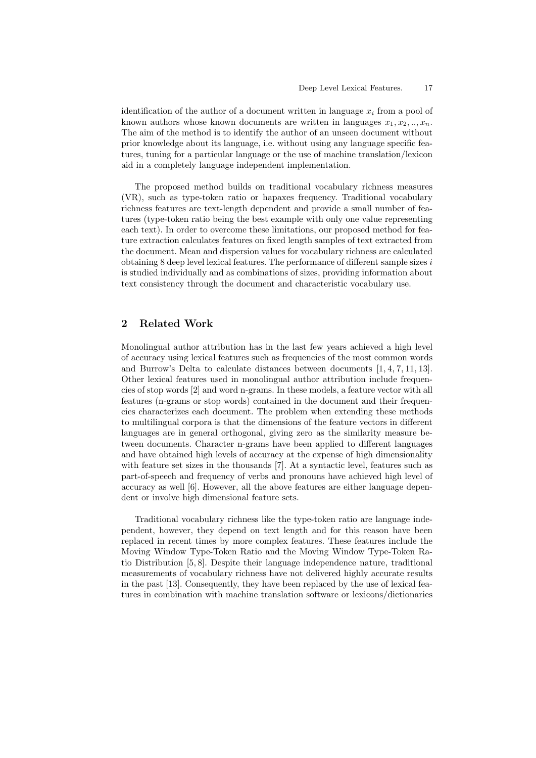identification of the author of a document written in language  $x_i$  from a pool of known authors whose known documents are written in languages  $x_1, x_2, \ldots, x_n$ . The aim of the method is to identify the author of an unseen document without prior knowledge about its language, i.e. without using any language specific features, tuning for a particular language or the use of machine translation/lexicon aid in a completely language independent implementation.

The proposed method builds on traditional vocabulary richness measures (VR), such as type-token ratio or hapaxes frequency. Traditional vocabulary richness features are text-length dependent and provide a small number of features (type-token ratio being the best example with only one value representing each text). In order to overcome these limitations, our proposed method for feature extraction calculates features on fixed length samples of text extracted from the document. Mean and dispersion values for vocabulary richness are calculated obtaining  $8$  deep level lexical features. The performance of different sample sizes  $i$ is studied individually and as combinations of sizes, providing information about text consistency through the document and characteristic vocabulary use.

# 2 Related Work

Monolingual author attribution has in the last few years achieved a high level of accuracy using lexical features such as frequencies of the most common words and Burrow's Delta to calculate distances between documents [1, 4, 7, 11, 13]. Other lexical features used in monolingual author attribution include frequencies of stop words [2] and word n-grams. In these models, a feature vector with all features (n-grams or stop words) contained in the document and their frequencies characterizes each document. The problem when extending these methods to multilingual corpora is that the dimensions of the feature vectors in different languages are in general orthogonal, giving zero as the similarity measure between documents. Character n-grams have been applied to different languages and have obtained high levels of accuracy at the expense of high dimensionality with feature set sizes in the thousands [7]. At a syntactic level, features such as part-of-speech and frequency of verbs and pronouns have achieved high level of accuracy as well [6]. However, all the above features are either language dependent or involve high dimensional feature sets.

Traditional vocabulary richness like the type-token ratio are language independent, however, they depend on text length and for this reason have been replaced in recent times by more complex features. These features include the Moving Window Type-Token Ratio and the Moving Window Type-Token Ratio Distribution [5, 8]. Despite their language independence nature, traditional measurements of vocabulary richness have not delivered highly accurate results in the past [13]. Consequently, they have been replaced by the use of lexical features in combination with machine translation software or lexicons/dictionaries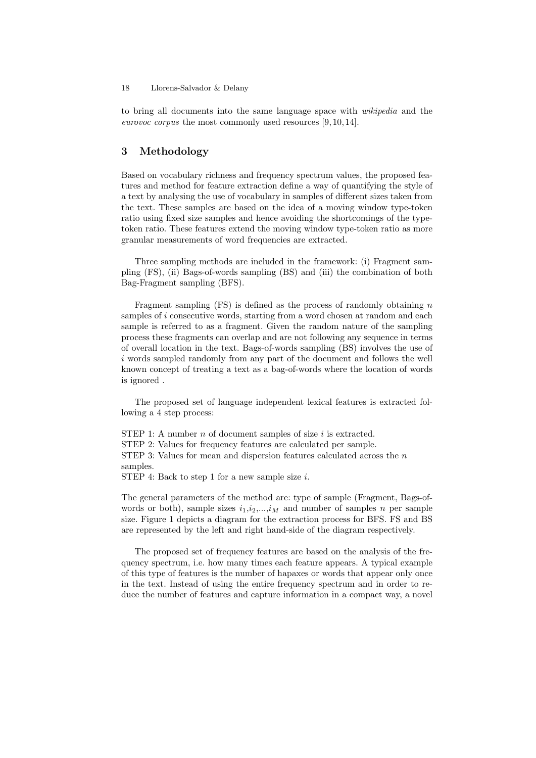#### 18 Llorens-Salvador & Delany

to bring all documents into the same language space with wikipedia and the eurovoc corpus the most commonly used resources [9, 10, 14].

## 3 Methodology

Based on vocabulary richness and frequency spectrum values, the proposed features and method for feature extraction define a way of quantifying the style of a text by analysing the use of vocabulary in samples of different sizes taken from the text. These samples are based on the idea of a moving window type-token ratio using fixed size samples and hence avoiding the shortcomings of the typetoken ratio. These features extend the moving window type-token ratio as more granular measurements of word frequencies are extracted.

Three sampling methods are included in the framework: (i) Fragment sampling (FS), (ii) Bags-of-words sampling (BS) and (iii) the combination of both Bag-Fragment sampling (BFS).

Fragment sampling  $(FS)$  is defined as the process of randomly obtaining n samples of i consecutive words, starting from a word chosen at random and each sample is referred to as a fragment. Given the random nature of the sampling process these fragments can overlap and are not following any sequence in terms of overall location in the text. Bags-of-words sampling (BS) involves the use of  $i$  words sampled randomly from any part of the document and follows the well known concept of treating a text as a bag-of-words where the location of words is ignored .

The proposed set of language independent lexical features is extracted following a 4 step process:

STEP 1: A number  $n$  of document samples of size  $i$  is extracted. STEP 2: Values for frequency features are calculated per sample. STEP 3: Values for mean and dispersion features calculated across the  $n$ samples. STEP 4: Back to step 1 for a new sample size  $i$ .

The general parameters of the method are: type of sample (Fragment, Bags-of-

words or both), sample sizes  $i_1, i_2, \ldots, i_M$  and number of samples n per sample size. Figure 1 depicts a diagram for the extraction process for BFS. FS and BS are represented by the left and right hand-side of the diagram respectively.

The proposed set of frequency features are based on the analysis of the frequency spectrum, i.e. how many times each feature appears. A typical example of this type of features is the number of hapaxes or words that appear only once in the text. Instead of using the entire frequency spectrum and in order to reduce the number of features and capture information in a compact way, a novel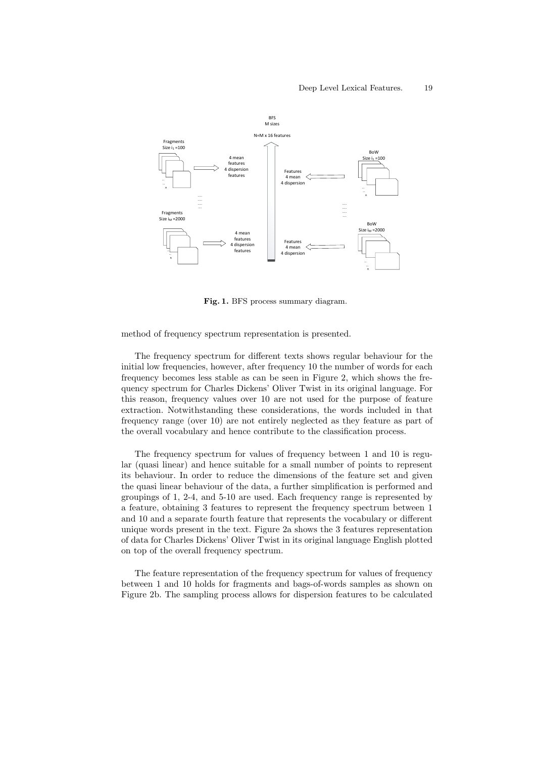

Fig. 1. BFS process summary diagram.

method of frequency spectrum representation is presented.

The frequency spectrum for different texts shows regular behaviour for the initial low frequencies, however, after frequency 10 the number of words for each frequency becomes less stable as can be seen in Figure 2, which shows the frequency spectrum for Charles Dickens' Oliver Twist in its original language. For this reason, frequency values over 10 are not used for the purpose of feature extraction. Notwithstanding these considerations, the words included in that frequency range (over 10) are not entirely neglected as they feature as part of the overall vocabulary and hence contribute to the classification process.

The frequency spectrum for values of frequency between 1 and 10 is regular (quasi linear) and hence suitable for a small number of points to represent its behaviour. In order to reduce the dimensions of the feature set and given the quasi linear behaviour of the data, a further simplification is performed and groupings of 1, 2-4, and 5-10 are used. Each frequency range is represented by a feature, obtaining 3 features to represent the frequency spectrum between 1 and 10 and a separate fourth feature that represents the vocabulary or different unique words present in the text. Figure 2a shows the 3 features representation of data for Charles Dickens' Oliver Twist in its original language English plotted on top of the overall frequency spectrum.

The feature representation of the frequency spectrum for values of frequency between 1 and 10 holds for fragments and bags-of-words samples as shown on Figure 2b. The sampling process allows for dispersion features to be calculated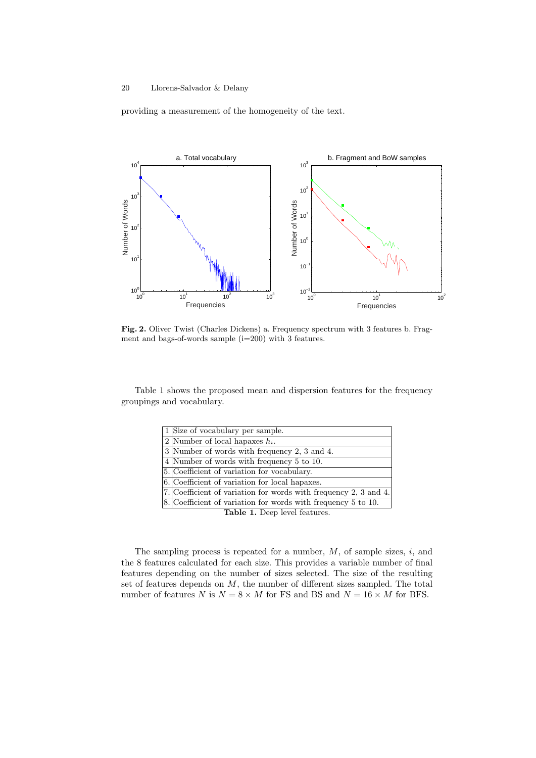providing a measurement of the homogeneity of the text.



Fig. 2. Oliver Twist (Charles Dickens) a. Frequency spectrum with 3 features b. Fragment and bags-of-words sample  $(i=200)$  with 3 features.

Table 1 shows the proposed mean and dispersion features for the frequency groupings and vocabulary.

|                             | 1 Size of vocabulary per sample.                                        |  |  |
|-----------------------------|-------------------------------------------------------------------------|--|--|
|                             | 2 Number of local hapaxes $h_i$ .                                       |  |  |
|                             | 3 Number of words with frequency 2, 3 and 4.                            |  |  |
|                             | 4 Number of words with frequency 5 to 10.                               |  |  |
|                             | 5. Coefficient of variation for vocabulary.                             |  |  |
|                             | 6. Coefficient of variation for local hapaxes.                          |  |  |
|                             | 7. Coefficient of variation for words with frequency 2, 3 and 4.        |  |  |
|                             | $ 8. \text{Coefficient of variation for words with frequency 5 to 10.}$ |  |  |
| Table 1 Deep level footning |                                                                         |  |  |

Table 1. Deep level features.

The sampling process is repeated for a number,  $M$ , of sample sizes,  $i$ , and the 8 features calculated for each size. This provides a variable number of final features depending on the number of sizes selected. The size of the resulting set of features depends on M, the number of different sizes sampled. The total number of features N is  $N = 8 \times M$  for FS and BS and  $N = 16 \times M$  for BFS.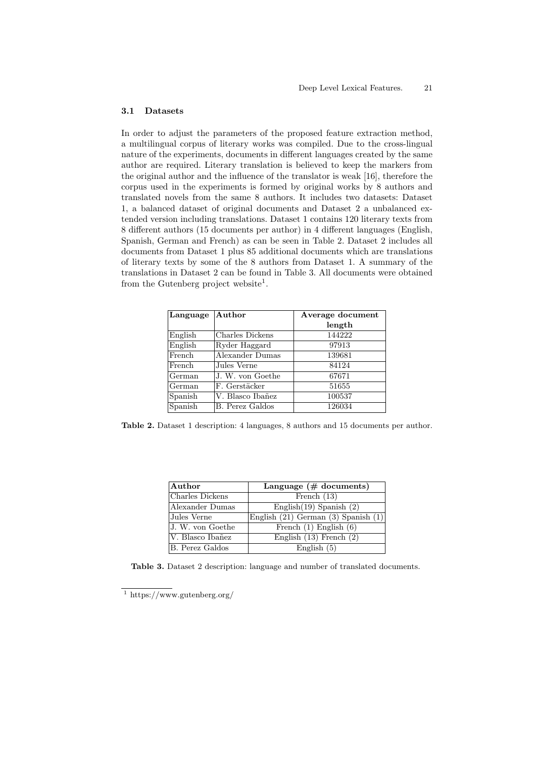#### 3.1 Datasets

In order to adjust the parameters of the proposed feature extraction method, a multilingual corpus of literary works was compiled. Due to the cross-lingual nature of the experiments, documents in different languages created by the same author are required. Literary translation is believed to keep the markers from the original author and the influence of the translator is weak [16], therefore the corpus used in the experiments is formed by original works by 8 authors and translated novels from the same 8 authors. It includes two datasets: Dataset 1, a balanced dataset of original documents and Dataset 2 a unbalanced extended version including translations. Dataset 1 contains 120 literary texts from 8 different authors (15 documents per author) in 4 different languages (English, Spanish, German and French) as can be seen in Table 2. Dataset 2 includes all documents from Dataset 1 plus 85 additional documents which are translations of literary texts by some of the 8 authors from Dataset 1. A summary of the translations in Dataset 2 can be found in Table 3. All documents were obtained from the Gutenberg project website<sup>1</sup>.

| $\bm{\mathrm{[Author]}}$ | Average document |
|--------------------------|------------------|
|                          | length           |
| Charles Dickens          | 144222           |
| Ryder Haggard            | 97913            |
| Alexander Dumas          | 139681           |
| Jules Verne              | 84124            |
| J. W. von Goethe         | 67671            |
| F. Gerstäcker            | 51655            |
| V. Blasco Ibañez         | 100537           |
| B. Perez Galdos          | 126034           |
|                          |                  |

Table 2. Dataset 1 description: 4 languages, 8 authors and 15 documents per author.

| $\bm{\mathrm{[Author]}}$ | Language $(\#$ documents)           |
|--------------------------|-------------------------------------|
| Charles Dickens          | French $(13)$                       |
| Alexander Dumas          | English $(19)$ Spanish $(2)$        |
| Jules Verne              | English (21) German (3) Spanish (1) |
| J. W. von Goethe         | French $(1)$ English $(6)$          |
| V. Blasco Ibañez         | English $(13)$ French $(2)$         |
| B. Perez Galdos          | English $(5)$                       |

Table 3. Dataset 2 description: language and number of translated documents.

<sup>1</sup> https://www.gutenberg.org/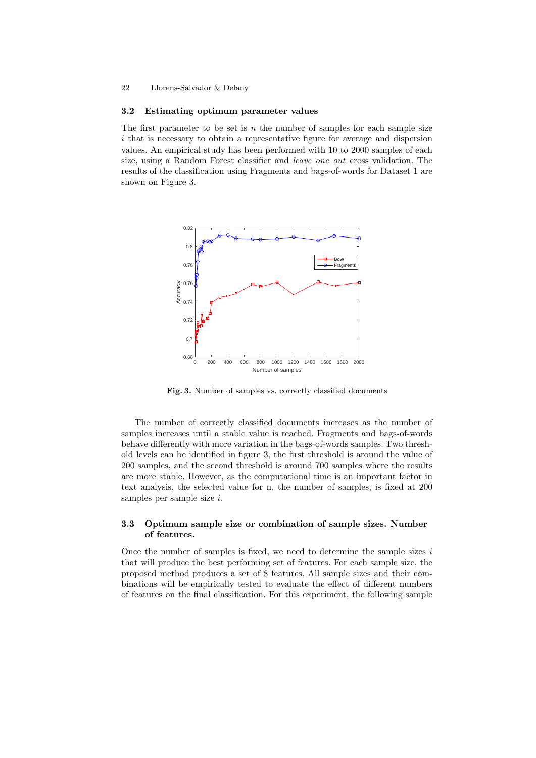#### 22 Llorens-Salvador & Delany

#### 3.2 Estimating optimum parameter values

The first parameter to be set is  $n$  the number of samples for each sample size i that is necessary to obtain a representative figure for average and dispersion values. An empirical study has been performed with 10 to 2000 samples of each size, using a Random Forest classifier and leave one out cross validation. The results of the classification using Fragments and bags-of-words for Dataset 1 are shown on Figure 3.



Fig. 3. Number of samples vs. correctly classified documents

The number of correctly classified documents increases as the number of samples increases until a stable value is reached. Fragments and bags-of-words behave differently with more variation in the bags-of-words samples. Two threshold levels can be identified in figure 3, the first threshold is around the value of 200 samples, and the second threshold is around 700 samples where the results are more stable. However, as the computational time is an important factor in text analysis, the selected value for n, the number of samples, is fixed at 200 samples per sample size i.

#### 3.3 Optimum sample size or combination of sample sizes. Number of features.

Once the number of samples is fixed, we need to determine the sample sizes  $i$ that will produce the best performing set of features. For each sample size, the proposed method produces a set of 8 features. All sample sizes and their combinations will be empirically tested to evaluate the effect of different numbers of features on the final classification. For this experiment, the following sample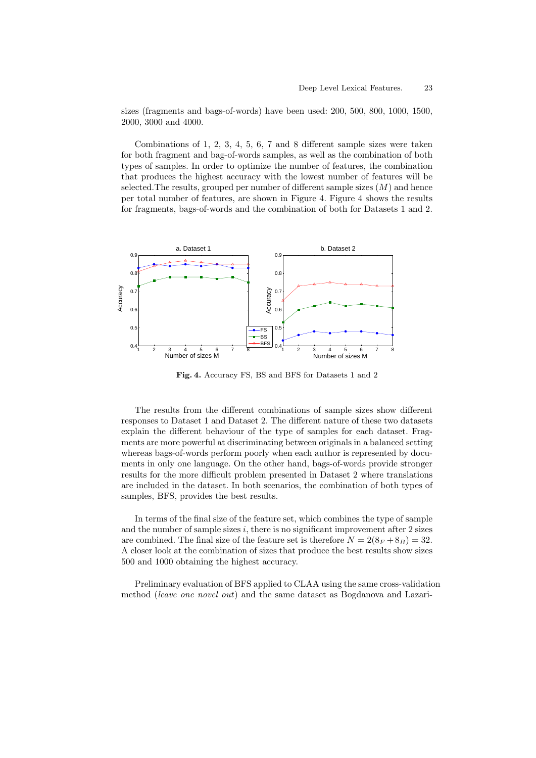sizes (fragments and bags-of-words) have been used: 200, 500, 800, 1000, 1500, 2000, 3000 and 4000.

Combinations of 1, 2, 3, 4, 5, 6, 7 and 8 different sample sizes were taken for both fragment and bag-of-words samples, as well as the combination of both types of samples. In order to optimize the number of features, the combination that produces the highest accuracy with the lowest number of features will be selected. The results, grouped per number of different sample sizes  $(M)$  and hence per total number of features, are shown in Figure 4. Figure 4 shows the results for fragments, bags-of-words and the combination of both for Datasets 1 and 2.



Fig. 4. Accuracy FS, BS and BFS for Datasets 1 and 2

The results from the different combinations of sample sizes show different responses to Dataset 1 and Dataset 2. The different nature of these two datasets explain the different behaviour of the type of samples for each dataset. Fragments are more powerful at discriminating between originals in a balanced setting whereas bags-of-words perform poorly when each author is represented by documents in only one language. On the other hand, bags-of-words provide stronger results for the more difficult problem presented in Dataset 2 where translations are included in the dataset. In both scenarios, the combination of both types of samples, BFS, provides the best results.

In terms of the final size of the feature set, which combines the type of sample and the number of sample sizes  $i$ , there is no significant improvement after  $2$  sizes are combined. The final size of the feature set is therefore  $N = 2(8_F + 8_B) = 32$ . A closer look at the combination of sizes that produce the best results show sizes 500 and 1000 obtaining the highest accuracy.

Preliminary evaluation of BFS applied to CLAA using the same cross-validation method (leave one novel out) and the same dataset as Bogdanova and Lazari-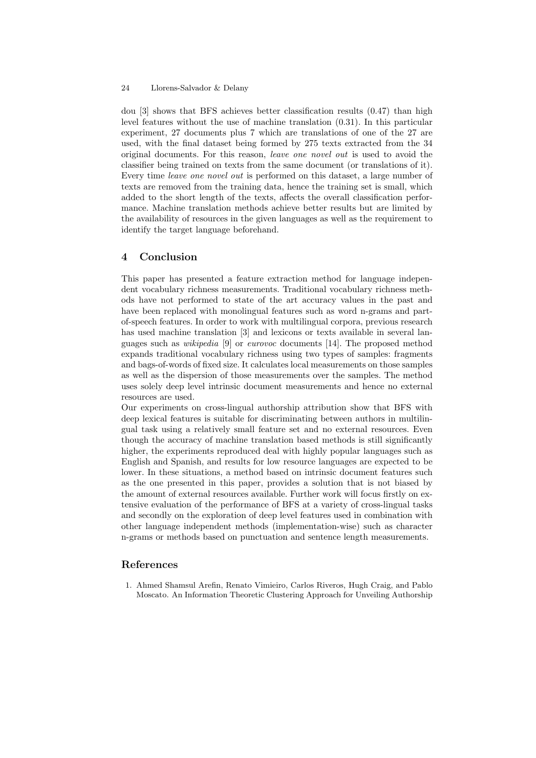#### 24 Llorens-Salvador & Delany

dou [3] shows that BFS achieves better classification results (0.47) than high level features without the use of machine translation (0.31). In this particular experiment, 27 documents plus 7 which are translations of one of the 27 are used, with the final dataset being formed by 275 texts extracted from the 34 original documents. For this reason, leave one novel out is used to avoid the classifier being trained on texts from the same document (or translations of it). Every time leave one novel out is performed on this dataset, a large number of texts are removed from the training data, hence the training set is small, which added to the short length of the texts, affects the overall classification performance. Machine translation methods achieve better results but are limited by the availability of resources in the given languages as well as the requirement to identify the target language beforehand.

### 4 Conclusion

This paper has presented a feature extraction method for language independent vocabulary richness measurements. Traditional vocabulary richness methods have not performed to state of the art accuracy values in the past and have been replaced with monolingual features such as word n-grams and partof-speech features. In order to work with multilingual corpora, previous research has used machine translation [3] and lexicons or texts available in several languages such as wikipedia [9] or eurovoc documents [14]. The proposed method expands traditional vocabulary richness using two types of samples: fragments and bags-of-words of fixed size. It calculates local measurements on those samples as well as the dispersion of those measurements over the samples. The method uses solely deep level intrinsic document measurements and hence no external resources are used.

Our experiments on cross-lingual authorship attribution show that BFS with deep lexical features is suitable for discriminating between authors in multilingual task using a relatively small feature set and no external resources. Even though the accuracy of machine translation based methods is still significantly higher, the experiments reproduced deal with highly popular languages such as English and Spanish, and results for low resource languages are expected to be lower. In these situations, a method based on intrinsic document features such as the one presented in this paper, provides a solution that is not biased by the amount of external resources available. Further work will focus firstly on extensive evaluation of the performance of BFS at a variety of cross-lingual tasks and secondly on the exploration of deep level features used in combination with other language independent methods (implementation-wise) such as character n-grams or methods based on punctuation and sentence length measurements.

## References

1. Ahmed Shamsul Arefin, Renato Vimieiro, Carlos Riveros, Hugh Craig, and Pablo Moscato. An Information Theoretic Clustering Approach for Unveiling Authorship